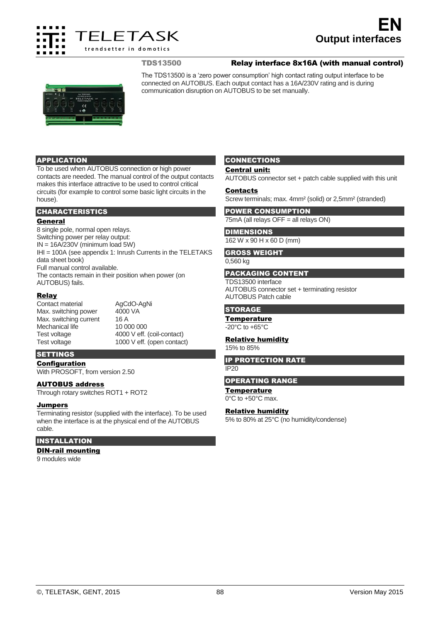

# **Output interfaces EN**

# TDS13500 Relay interface 8x16A (with manual control)



The TDS13500 is a 'zero power consumption' high contact rating output interface to be connected on AUTOBUS. Each output contact has a 16A/230V rating and is during communication disruption on AUTOBUS to be set manually.

# APPLICATION

To be used when AUTOBUS connection or high power contacts are needed. The manual control of the output contacts makes this interface attractive to be used to control critical circuits (for example to control some basic light circuits in the house).

## CHARACTERISTICS

## General

8 single pole, normal open relays. Switching power per relay output:  $IN = 16A/230V$  (minimum load 5W) IHI = 100A (see appendix 1: Inrush Currents in the TELETAKS data sheet book) Full manual control available. The contacts remain in their position when power (on AUTOBUS) fails.

## Relay

Contact material AgCdO-AgNi<br>
Max. switching power 4000 VA Max. switching power Max. switching current 16 A Mechanical life 10 000 000<br>Test voltage 4000 V eff. Test voltage 1000 V eff. (open contact)

4000 V eff. (coil-contact)

## **SETTINGS**

Configuration

With PROSOFT, from version 2.50

# AUTOBUS address

Through rotary switches ROT1 + ROT2

#### **Jumpers**

Terminating resistor (supplied with the interface). To be used when the interface is at the physical end of the AUTOBUS cable.

# INSTALLATION

# DIN-rail mounting

9 modules wide

# **CONNECTIONS**

## Central unit:

AUTOBUS connector set + patch cable supplied with this unit

#### Contacts

Screw terminals; max. 4mm² (solid) or 2,5mm² (stranded)

## POWER CONSUMPTION 75mA (all relays OFF = all relays ON)

#### DIMENSIONS 162 W x 90 H x 60 D (mm)

# GROSS WEIGHT

0,560 kg

#### PACKAGING CONTENT

TDS13500 interface AUTOBUS connector set + terminating resistor AUTOBUS Patch cable

#### **STORAGE**

#### **Temperature**

-20°C to +65°C

#### Relative humidity

15% to 85%

#### IP PROTECTION RATE

IP20

#### OPERATING RANGE

#### **Temperature**

0°C to +50°C max.

# Relative humidity

5% to 80% at 25°C (no humidity/condense)